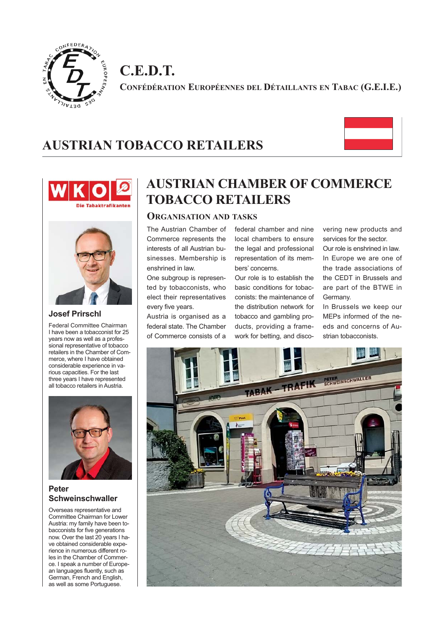

**C.E.D.T. CONFÉDÉRATION EUROPÉENNES DEL DÉTAILLANTS EN TABAC (G.E.I.E.)**

# **AUSTRIAN TOBACCO RETAILERS**







#### **Josef Prirschl**

Federal Committee Chairman I have been a tobacconist for 25 years now as well as a professional representative of tobacco retailers in the Chamber of Commerce, where I have obtained considerable experience in various capacities. For the last three years I have represented all tobacco retailers in Austria.



#### **Peter Schweinschwaller**

Overseas representative and Committee Chairman for Lower Austria: my family have been tobacconists for five generations now. Over the last 20 years I have obtained considerable experience in numerous different roles in the Chamber of Commerce. I speak a number of European languages fluently, such as German, French and English, as well as some Portuguese.

# **AUSTRIAN CHAMBER OF COMMERCE TOBACCO RETAILERS**

#### **ORGANISATION AND TASKS**

The Austrian Chamber of Commerce represents the interests of all Austrian businesses. Membership is enshrined in law.

One subgroup is represented by tobacconists, who elect their representatives every five years.

Austria is organised as a federal state. The Chamber of Commerce consists of a

federal chamber and nine local chambers to ensure the legal and professional representation of its members' concerns.

Our role is to establish the basic conditions for tobacconists: the maintenance of the distribution network for tobacco and gambling products, providing a framework for betting, and discovering new products and services for the sector.

Our role is enshrined in law. In Europe we are one of the trade associations of the CEDT in Brussels and are part of the BTWE in Germany.

In Brussels we keep our MEPs informed of the needs and concerns of Austrian tobacconists.

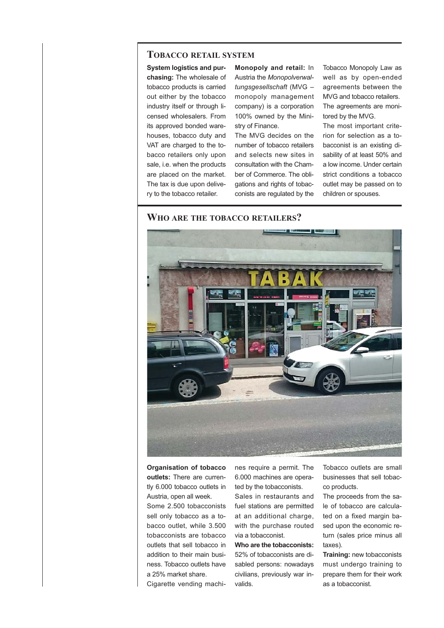#### **TOBACCO RETAIL SYSTEM**

**System logistics and purchasing:** The wholesale of tobacco products is carried out either by the tobacco industry itself or through licensed wholesalers. From its approved bonded warehouses, tobacco duty and VAT are charged to the tobacco retailers only upon sale, i.e. when the products are placed on the market. The tax is due upon delivery to the tobacco retailer.

**Monopoly and retail:** In Austria the *Monopolverwaltungsgesellschaft* (MVG – monopoly management company) is a corporation 100% owned by the Ministry of Finance.

The MVG decides on the number of tobacco retailers and selects new sites in consultation with the Chamber of Commerce. The obligations and rights of tobacconists are regulated by the Tobacco Monopoly Law as well as by open-ended agreements between the MVG and tobacco retailers. The agreements are monitored by the MVG.

The most important criterion for selection as a tobacconist is an existing disability of at least 50% and a low income. Under certain strict conditions a tobacco outlet may be passed on to children or spouses.

#### **WHO ARE THE TOBACCO RETAILERS?**



**Organisation of tobacco outlets:** There are currently 6.000 tobacco outlets in Austria, open all week.

Some 2.500 tobacconists sell only tobacco as a tobacco outlet, while 3.500 tobacconists are tobacco outlets that sell tobacco in addition to their main business. Tobacco outlets have a 25% market share.

Cigarette vending machi-

nes require a permit. The 6.000 machines are operated by the tobacconists.

Sales in restaurants and fuel stations are permitted at an additional charge, with the purchase routed via a tobacconist.

**Who are the tobacconists:** 52% of tobacconists are disabled persons: nowadays civilians, previously war invalids.

Tobacco outlets are small businesses that sell tobacco products.

The proceeds from the sale of tobacco are calculated on a fixed margin based upon the economic return (sales price minus all taxes).

**Training:** new tobacconists must undergo training to prepare them for their work as a tobacconist.